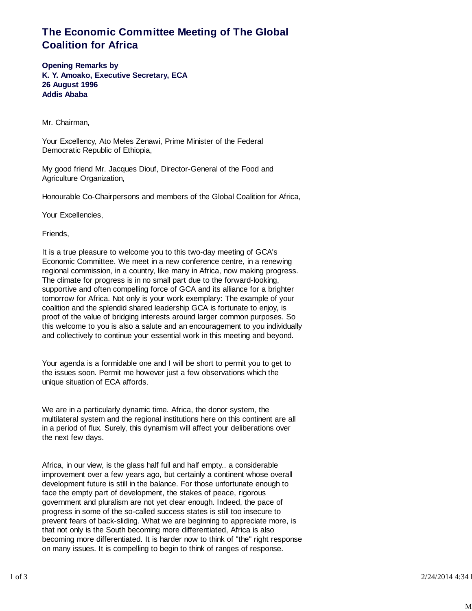## **The Economic Committee Meeting of The Global Coalition for Africa**

**Opening Remarks by K. Y. Amoako, Executive Secretary, ECA 26 August 1996 Addis Ababa**

Mr. Chairman,

Your Excellency, Ato Meles Zenawi, Prime Minister of the Federal Democratic Republic of Ethiopia,

My good friend Mr. Jacques Diouf, Director-General of the Food and Agriculture Organization,

Honourable Co-Chairpersons and members of the Global Coalition for Africa,

Your Excellencies,

Friends,

It is a true pleasure to welcome you to this two-day meeting of GCA's Economic Committee. We meet in a new conference centre, in a renewing regional commission, in a country, like many in Africa, now making progress. The climate for progress is in no small part due to the forward-looking, supportive and often compelling force of GCA and its alliance for a brighter tomorrow for Africa. Not only is your work exemplary: The example of your coalition and the splendid shared leadership GCA is fortunate to enjoy, is proof of the value of bridging interests around larger common purposes. So this welcome to you is also a salute and an encouragement to you individually and collectively to continue your essential work in this meeting and beyond.

Your agenda is a formidable one and I will be short to permit you to get to the issues soon. Permit me however just a few observations which the unique situation of ECA affords.

We are in a particularly dynamic time. Africa, the donor system, the multilateral system and the regional institutions here on this continent are all in a period of flux. Surely, this dynamism will affect your deliberations over the next few days.

Africa, in our view, is the glass half full and half empty.. a considerable improvement over a few years ago, but certainly a continent whose overall development future is still in the balance. For those unfortunate enough to face the empty part of development, the stakes of peace, rigorous government and pluralism are not yet clear enough. Indeed, the pace of progress in some of the so-called success states is still too insecure to prevent fears of back-sliding. What we are beginning to appreciate more, is that not only is the South becoming more differentiated, Africa is also becoming more differentiated. It is harder now to think of "the" right response on many issues. It is compelling to begin to think of ranges of response.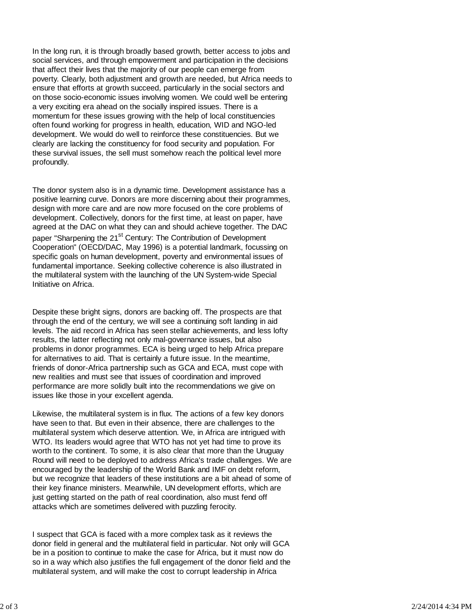In the long run, it is through broadly based growth, better access to jobs and social services, and through empowerment and participation in the decisions that affect their lives that the majority of our people can emerge from poverty. Clearly, both adjustment and growth are needed, but Africa needs to ensure that efforts at growth succeed, particularly in the social sectors and on those socio-economic issues involving women. We could well be entering a very exciting era ahead on the socially inspired issues. There is a momentum for these issues growing with the help of local constituencies often found working for progress in health, education, WID and NGO-led development. We would do well to reinforce these constituencies. But we clearly are lacking the constituency for food security and population. For these survival issues, the sell must somehow reach the political level more profoundly.

The donor system also is in a dynamic time. Development assistance has a positive learning curve. Donors are more discerning about their programmes, design with more care and are now more focused on the core problems of development. Collectively, donors for the first time, at least on paper, have agreed at the DAC on what they can and should achieve together. The DAC paper "Sharpening the 21<sup>st</sup> Century: The Contribution of Development Cooperation" (OECD/DAC, May 1996) is a potential landmark, focussing on specific goals on human development, poverty and environmental issues of fundamental importance. Seeking collective coherence is also illustrated in the multilateral system with the launching of the UN System-wide Special Initiative on Africa.

Despite these bright signs, donors are backing off. The prospects are that through the end of the century, we will see a continuing soft landing in aid levels. The aid record in Africa has seen stellar achievements, and less lofty results, the latter reflecting not only mal-governance issues, but also problems in donor programmes. ECA is being urged to help Africa prepare for alternatives to aid. That is certainly a future issue. In the meantime, friends of donor-Africa partnership such as GCA and ECA, must cope with new realities and must see that issues of coordination and improved performance are more solidly built into the recommendations we give on issues like those in your excellent agenda.

Likewise, the multilateral system is in flux. The actions of a few key donors have seen to that. But even in their absence, there are challenges to the multilateral system which deserve attention. We, in Africa are intrigued with WTO. Its leaders would agree that WTO has not yet had time to prove its worth to the continent. To some, it is also clear that more than the Uruguay Round will need to be deployed to address Africa's trade challenges. We are encouraged by the leadership of the World Bank and IMF on debt reform, but we recognize that leaders of these institutions are a bit ahead of some of their key finance ministers. Meanwhile, UN development efforts, which are just getting started on the path of real coordination, also must fend off attacks which are sometimes delivered with puzzling ferocity.

I suspect that GCA is faced with a more complex task as it reviews the donor field in general and the multilateral field in particular. Not only will GCA be in a position to continue to make the case for Africa, but it must now do so in a way which also justifies the full engagement of the donor field and the multilateral system, and will make the cost to corrupt leadership in Africa